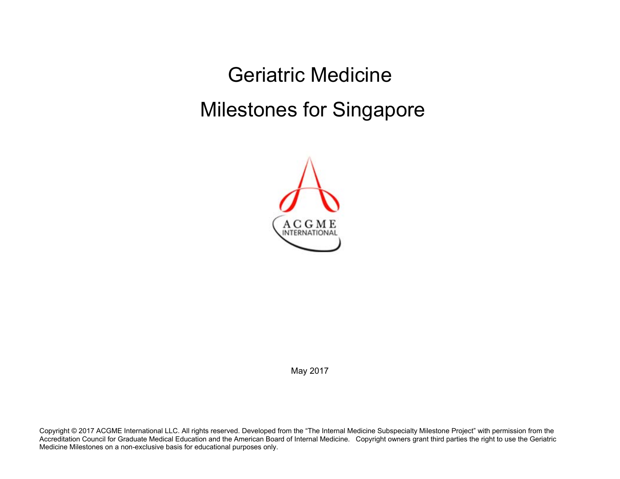Geriatric Medicine Milestones for Singapore



May 2017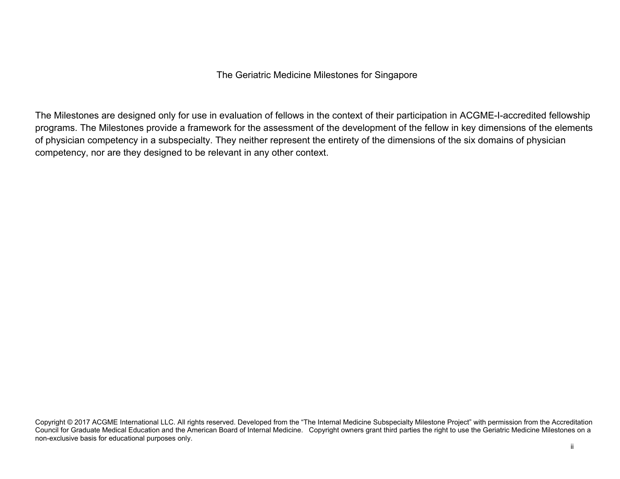## The Geriatric Medicine Milestones for Singapore

The Milestones are designed only for use in evaluation of fellows in the context of their participation in ACGME-I-accredited fellowship programs. The Milestones provide a framework for the assessment of the development of the fellow in key dimensions of the elements of physician competency in a subspecialty. They neither represent the entirety of the dimensions of the six domains of physician competency, nor are they designed to be relevant in any other context.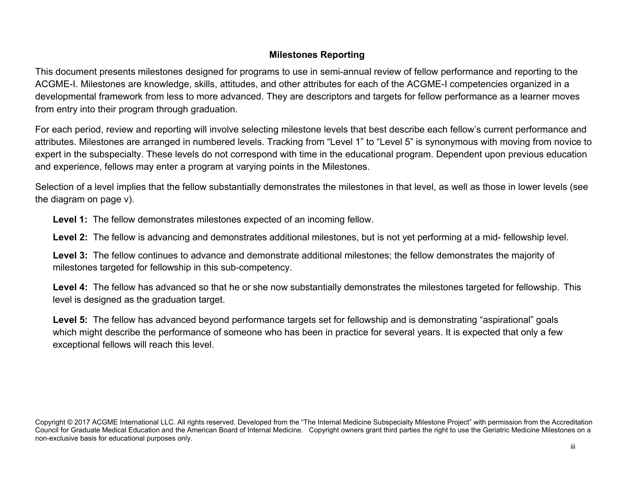## **Milestones Reporting**

This document presents milestones designed for programs to use in semi-annual review of fellow performance and reporting to the ACGME-I. Milestones are knowledge, skills, attitudes, and other attributes for each of the ACGME-I competencies organized in a developmental framework from less to more advanced. They are descriptors and targets for fellow performance as a learner moves from entry into their program through graduation.

For each period, review and reporting will involve selecting milestone levels that best describe each fellow's current performance and attributes. Milestones are arranged in numbered levels. Tracking from "Level 1" to "Level 5" is synonymous with moving from novice to expert in the subspecialty. These levels do not correspond with time in the educational program. Dependent upon previous education and experience, fellows may enter a program at varying points in the Milestones.

Selection of a level implies that the fellow substantially demonstrates the milestones in that level, as well as those in lower levels (see the diagram on page v).

**Level 1:** The fellow demonstrates milestones expected of an incoming fellow.

**Level 2:** The fellow is advancing and demonstrates additional milestones, but is not yet performing at a mid- fellowship level.

**Level 3:** The fellow continues to advance and demonstrate additional milestones; the fellow demonstrates the majority of milestones targeted for fellowship in this sub-competency.

**Level 4:** The fellow has advanced so that he or she now substantially demonstrates the milestones targeted for fellowship. This level is designed as the graduation target.

Level 5: The fellow has advanced beyond performance targets set for fellowship and is demonstrating "aspirational" goals which might describe the performance of someone who has been in practice for several years. It is expected that only a few exceptional fellows will reach this level.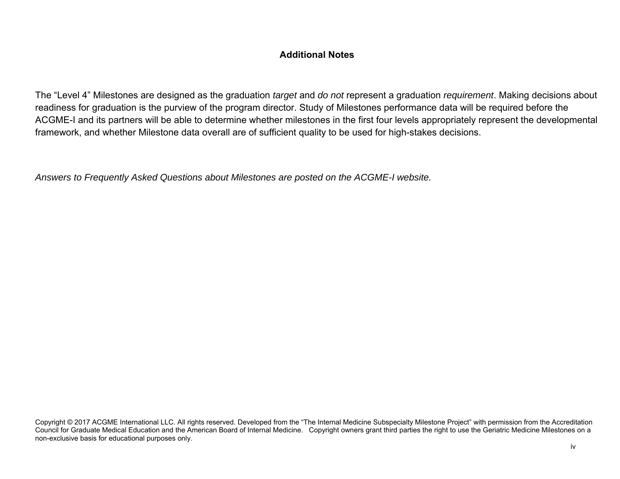## **Additional Notes**

The "Level 4" Milestones are designed as the graduation *target* and *do not* represent a graduation *requirement*. Making decisions about readiness for graduation is the purview of the program director. Study of Milestones performance data will be required before the ACGME-I and its partners will be able to determine whether milestones in the first four levels appropriately represent the developmental framework, and whether Milestone data overall are of sufficient quality to be used for high-stakes decisions.

*Answers to Frequently Asked Questions about Milestones are posted on the ACGME-I website.*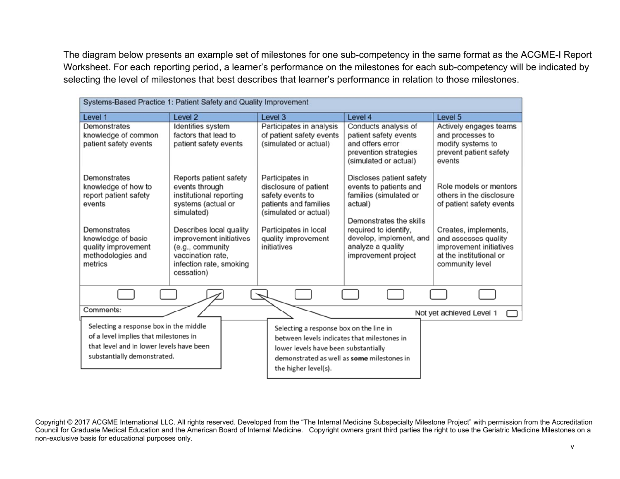The diagram below presents an example set of milestones for one sub-competency in the same format as the ACGME-I Report Worksheet. For each reporting period, a learner's performance on the milestones for each sub-competency will be indicated by selecting the level of milestones that best describes that learner's performance in relation to those milestones.

| Systems-Based Practice 1: Patient Safety and Quality Improvement                                                                                           |                                                                                                                                    |                                                                                                                                                                                                      |                                                                                                                                             |                                                                                                        |  |
|------------------------------------------------------------------------------------------------------------------------------------------------------------|------------------------------------------------------------------------------------------------------------------------------------|------------------------------------------------------------------------------------------------------------------------------------------------------------------------------------------------------|---------------------------------------------------------------------------------------------------------------------------------------------|--------------------------------------------------------------------------------------------------------|--|
| Level 1                                                                                                                                                    | Level 2                                                                                                                            | Level 3                                                                                                                                                                                              | Level 4                                                                                                                                     | Level 5                                                                                                |  |
| Demonstrates<br>knowledge of common<br>patient safety events                                                                                               | Identifies system<br>factors that lead to<br>patient safety events                                                                 | Participates in analysis<br>of patient safety events<br>(simulated or actual)                                                                                                                        | Conducts analysis of<br>patient safety events<br>and offers error<br>prevention strategies<br>(simulated or actual)                         | Actively engages teams<br>and processes to<br>modify systems to<br>prevent patient safety<br>events    |  |
| Demonstrates<br>knowledge of how to<br>report patient safety<br>events<br>Demonstrates                                                                     | Reports patient safety<br>events through<br>institutional reporting<br>systems (actual or<br>simulated)<br>Describes local quality | Participates in<br>disclosure of patient<br>safety events to<br>patients and families<br>(simulated or actual)<br>Participates in local                                                              | Discloses patient safety<br>events to patients and<br>families (simulated or<br>actual)<br>Demonstrates the skills<br>required to identify, | Role models or mentors<br>others in the disclosure<br>of patient safety events<br>Creates, implements, |  |
| knowledge of basic<br>quality improvement<br>methodologies and<br>metrics                                                                                  | improvement initiatives<br>(e.g., community<br>vaccination rate,<br>infection rate, smoking<br>cessation)                          | quality improvement<br>initiatives                                                                                                                                                                   | develop, implement, and<br>analyze a quality<br>improvement project                                                                         | and assesses quality<br>improvement initiatives<br>at the institutional or<br>community level          |  |
|                                                                                                                                                            |                                                                                                                                    |                                                                                                                                                                                                      |                                                                                                                                             |                                                                                                        |  |
| Comments:                                                                                                                                                  |                                                                                                                                    |                                                                                                                                                                                                      |                                                                                                                                             | Not yet achieved Level 1                                                                               |  |
| Selecting a response box in the middle<br>of a level implies that milestones in<br>that level and in lower levels have been<br>substantially demonstrated. |                                                                                                                                    | Selecting a response box on the line in<br>between levels indicates that milestones in<br>lower levels have been substantially<br>demonstrated as well as some milestones in<br>the higher level(s). |                                                                                                                                             |                                                                                                        |  |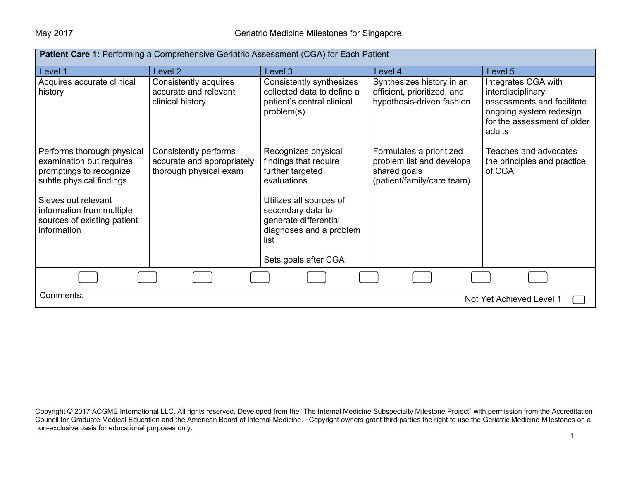| Patient Care 1: Performing a Comprehensive Geriatric Assessment (CGA) for Each Patient                                                                                                                          |                                                                               |                                                                                                                                                                                                                     |                                                                                                     |                                                                                                                                            |  |
|-----------------------------------------------------------------------------------------------------------------------------------------------------------------------------------------------------------------|-------------------------------------------------------------------------------|---------------------------------------------------------------------------------------------------------------------------------------------------------------------------------------------------------------------|-----------------------------------------------------------------------------------------------------|--------------------------------------------------------------------------------------------------------------------------------------------|--|
| Level 1                                                                                                                                                                                                         | Level <sub>2</sub>                                                            | Level 3                                                                                                                                                                                                             | Level 4                                                                                             | Level 5                                                                                                                                    |  |
| Acquires accurate clinical<br>history                                                                                                                                                                           | Consistently acquires<br>accurate and relevant<br>clinical history            | Consistently synthesizes<br>collected data to define a<br>patient's central clinical<br>problem(s)                                                                                                                  | Synthesizes history in an<br>efficient, prioritized, and<br>hypothesis-driven fashion               | Integrates CGA with<br>interdisciplinary<br>assessments and facilitate<br>ongoing system redesign<br>for the assessment of older<br>adults |  |
| Performs thorough physical<br>examination but requires<br>promptings to recognize<br>subtle physical findings<br>Sieves out relevant<br>information from multiple<br>sources of existing patient<br>information | Consistently performs<br>accurate and appropriately<br>thorough physical exam | Recognizes physical<br>findings that require<br>further targeted<br>evaluations<br>Utilizes all sources of<br>secondary data to<br>generate differential<br>diagnoses and a problem<br>list<br>Sets goals after CGA | Formulates a prioritized<br>problem list and develops<br>shared goals<br>(patient/family/care team) | Teaches and advocates<br>the principles and practice<br>of CGA                                                                             |  |
|                                                                                                                                                                                                                 |                                                                               |                                                                                                                                                                                                                     |                                                                                                     |                                                                                                                                            |  |
| Comments:                                                                                                                                                                                                       | Not Yet Achieved Level 1                                                      |                                                                                                                                                                                                                     |                                                                                                     |                                                                                                                                            |  |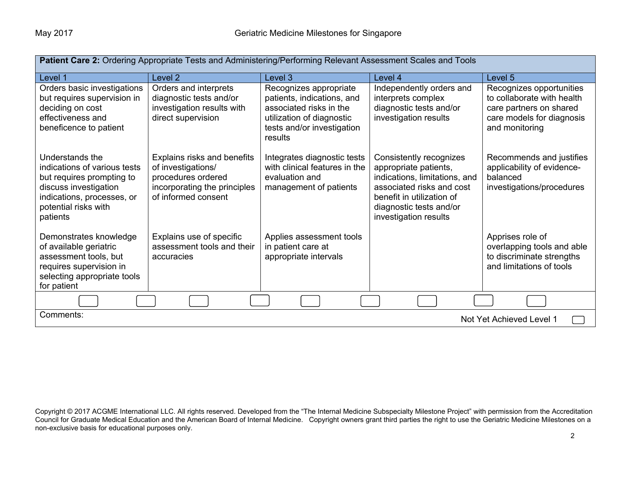| Patient Care 2: Ordering Appropriate Tests and Administering/Performing Relevant Assessment Scales and Tools                                                            |                                                                                                                                |                                                                                                                                                       |                                                                                                                                                                                                 |                                                                                                                                  |
|-------------------------------------------------------------------------------------------------------------------------------------------------------------------------|--------------------------------------------------------------------------------------------------------------------------------|-------------------------------------------------------------------------------------------------------------------------------------------------------|-------------------------------------------------------------------------------------------------------------------------------------------------------------------------------------------------|----------------------------------------------------------------------------------------------------------------------------------|
| Level 1                                                                                                                                                                 | Level <sub>2</sub>                                                                                                             | Level 3                                                                                                                                               | Level 4                                                                                                                                                                                         | Level 5                                                                                                                          |
| Orders basic investigations<br>but requires supervision in<br>deciding on cost<br>effectiveness and<br>beneficence to patient                                           | Orders and interprets<br>diagnostic tests and/or<br>investigation results with<br>direct supervision                           | Recognizes appropriate<br>patients, indications, and<br>associated risks in the<br>utilization of diagnostic<br>tests and/or investigation<br>results | Independently orders and<br>interprets complex<br>diagnostic tests and/or<br>investigation results                                                                                              | Recognizes opportunities<br>to collaborate with health<br>care partners on shared<br>care models for diagnosis<br>and monitoring |
| Understands the<br>indications of various tests<br>but requires prompting to<br>discuss investigation<br>indications, processes, or<br>potential risks with<br>patients | Explains risks and benefits<br>of investigations/<br>procedures ordered<br>incorporating the principles<br>of informed consent | Integrates diagnostic tests<br>with clinical features in the<br>evaluation and<br>management of patients                                              | Consistently recognizes<br>appropriate patients,<br>indications, limitations, and<br>associated risks and cost<br>benefit in utilization of<br>diagnostic tests and/or<br>investigation results | Recommends and justifies<br>applicability of evidence-<br>balanced<br>investigations/procedures                                  |
| Demonstrates knowledge<br>of available geriatric<br>assessment tools, but<br>requires supervision in<br>selecting appropriate tools<br>for patient                      | Explains use of specific<br>assessment tools and their<br>accuracies                                                           | Applies assessment tools<br>in patient care at<br>appropriate intervals                                                                               |                                                                                                                                                                                                 | Apprises role of<br>overlapping tools and able<br>to discriminate strengths<br>and limitations of tools                          |
|                                                                                                                                                                         |                                                                                                                                |                                                                                                                                                       |                                                                                                                                                                                                 |                                                                                                                                  |
| Comments:                                                                                                                                                               |                                                                                                                                |                                                                                                                                                       |                                                                                                                                                                                                 | Not Yet Achieved Level 1                                                                                                         |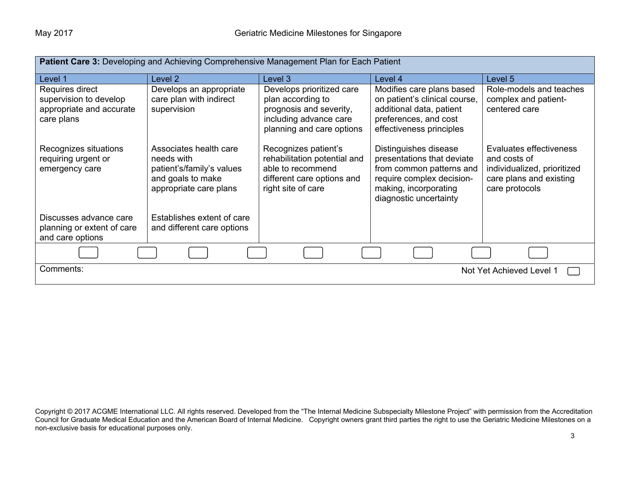| Patient Care 3: Developing and Achieving Comprehensive Management Plan for Each Patient |                                                                                                                  |                                                                                                                                  |                                                                                                                                                                 |                                                                                                                     |
|-----------------------------------------------------------------------------------------|------------------------------------------------------------------------------------------------------------------|----------------------------------------------------------------------------------------------------------------------------------|-----------------------------------------------------------------------------------------------------------------------------------------------------------------|---------------------------------------------------------------------------------------------------------------------|
| Level 1                                                                                 | Level 2                                                                                                          | Level 3                                                                                                                          | Level 4                                                                                                                                                         | Level 5                                                                                                             |
| Requires direct<br>supervision to develop<br>appropriate and accurate<br>care plans     | Develops an appropriate<br>care plan with indirect<br>supervision                                                | Develops prioritized care<br>plan according to<br>prognosis and severity,<br>including advance care<br>planning and care options | Modifies care plans based<br>on patient's clinical course,<br>additional data, patient<br>preferences, and cost<br>effectiveness principles                     | Role-models and teaches<br>complex and patient-<br>centered care                                                    |
| Recognizes situations<br>requiring urgent or<br>emergency care                          | Associates health care<br>needs with<br>patient's/family's values<br>and goals to make<br>appropriate care plans | Recognizes patient's<br>rehabilitation potential and<br>able to recommend<br>different care options and<br>right site of care    | Distinguishes disease<br>presentations that deviate<br>from common patterns and<br>require complex decision-<br>making, incorporating<br>diagnostic uncertainty | Evaluates effectiveness<br>and costs of<br>individualized, prioritized<br>care plans and existing<br>care protocols |
| Discusses advance care<br>planning or extent of care<br>and care options                | Establishes extent of care<br>and different care options                                                         |                                                                                                                                  |                                                                                                                                                                 |                                                                                                                     |
|                                                                                         |                                                                                                                  |                                                                                                                                  |                                                                                                                                                                 |                                                                                                                     |
| Comments:<br>Not Yet Achieved Level 1                                                   |                                                                                                                  |                                                                                                                                  |                                                                                                                                                                 |                                                                                                                     |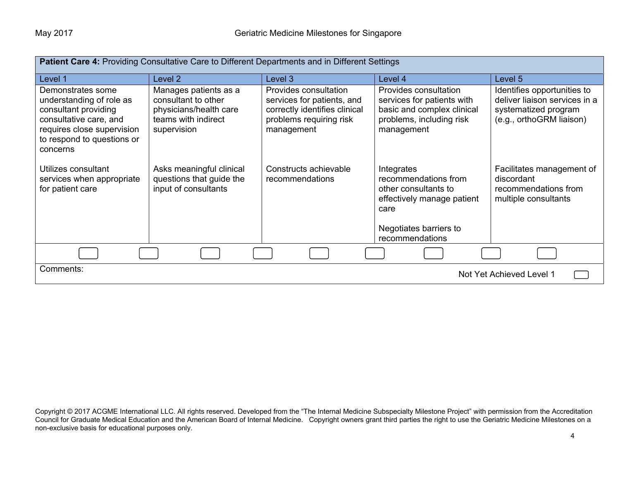| <b>Patient Care 4: Providing Consultative Care to Different Departments and in Different Settings</b>                                                                   |                                                                                                              |                                                                                                                               |                                                                                                                                               |                                                                                                                  |
|-------------------------------------------------------------------------------------------------------------------------------------------------------------------------|--------------------------------------------------------------------------------------------------------------|-------------------------------------------------------------------------------------------------------------------------------|-----------------------------------------------------------------------------------------------------------------------------------------------|------------------------------------------------------------------------------------------------------------------|
| Level 1                                                                                                                                                                 | Level 2                                                                                                      | Level 3                                                                                                                       | Level 4                                                                                                                                       | Level 5                                                                                                          |
| Demonstrates some<br>understanding of role as<br>consultant providing<br>consultative care, and<br>requires close supervision<br>to respond to questions or<br>concerns | Manages patients as a<br>consultant to other<br>physicians/health care<br>teams with indirect<br>supervision | Provides consultation<br>services for patients, and<br>correctly identifies clinical<br>problems requiring risk<br>management | Provides consultation<br>services for patients with<br>basic and complex clinical<br>problems, including risk<br>management                   | Identifies opportunities to<br>deliver liaison services in a<br>systematized program<br>(e.g., orthoGRM liaison) |
| Utilizes consultant<br>services when appropriate<br>for patient care                                                                                                    | Asks meaningful clinical<br>questions that guide the<br>input of consultants                                 | Constructs achievable<br>recommendations                                                                                      | Integrates<br>recommendations from<br>other consultants to<br>effectively manage patient<br>care<br>Negotiates barriers to<br>recommendations | Facilitates management of<br>discordant<br>recommendations from<br>multiple consultants                          |
|                                                                                                                                                                         |                                                                                                              |                                                                                                                               |                                                                                                                                               |                                                                                                                  |
| Comments:<br>Not Yet Achieved Level 1                                                                                                                                   |                                                                                                              |                                                                                                                               |                                                                                                                                               |                                                                                                                  |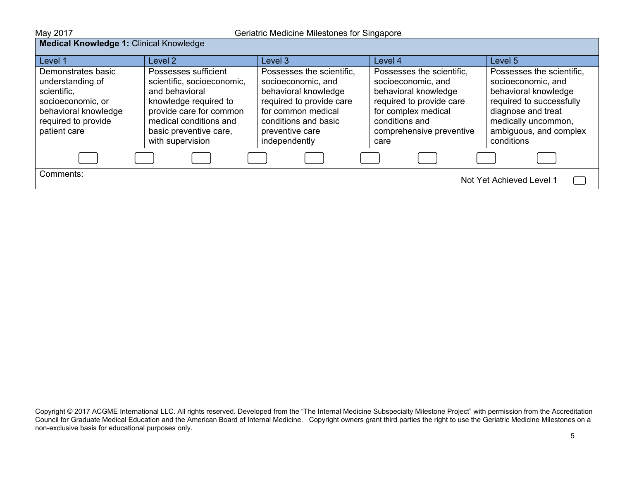| <b>Medical Knowledge 1: Clinical Knowledge</b>                                                                                            |                                                                                                                                                                                                  |                                                                                                                                                                                       |                                                                                                                                                                                  |                                                                                                                                                                                          |
|-------------------------------------------------------------------------------------------------------------------------------------------|--------------------------------------------------------------------------------------------------------------------------------------------------------------------------------------------------|---------------------------------------------------------------------------------------------------------------------------------------------------------------------------------------|----------------------------------------------------------------------------------------------------------------------------------------------------------------------------------|------------------------------------------------------------------------------------------------------------------------------------------------------------------------------------------|
| Level 1                                                                                                                                   | Level 2                                                                                                                                                                                          | Level 3                                                                                                                                                                               | Level 4                                                                                                                                                                          | Level 5                                                                                                                                                                                  |
| Demonstrates basic<br>understanding of<br>scientific,<br>socioeconomic, or<br>behavioral knowledge<br>required to provide<br>patient care | Possesses sufficient<br>scientific, socioeconomic,<br>and behavioral<br>knowledge required to<br>provide care for common<br>medical conditions and<br>basic preventive care,<br>with supervision | Possesses the scientific,<br>socioeconomic, and<br>behavioral knowledge<br>required to provide care<br>for common medical<br>conditions and basic<br>preventive care<br>independently | Possesses the scientific,<br>socioeconomic, and<br>behavioral knowledge<br>required to provide care<br>for complex medical<br>conditions and<br>comprehensive preventive<br>care | Possesses the scientific,<br>socioeconomic, and<br>behavioral knowledge<br>required to successfully<br>diagnose and treat<br>medically uncommon,<br>ambiguous, and complex<br>conditions |
|                                                                                                                                           |                                                                                                                                                                                                  |                                                                                                                                                                                       |                                                                                                                                                                                  |                                                                                                                                                                                          |
| Comments:                                                                                                                                 |                                                                                                                                                                                                  |                                                                                                                                                                                       |                                                                                                                                                                                  | Not Yet Achieved Level 1                                                                                                                                                                 |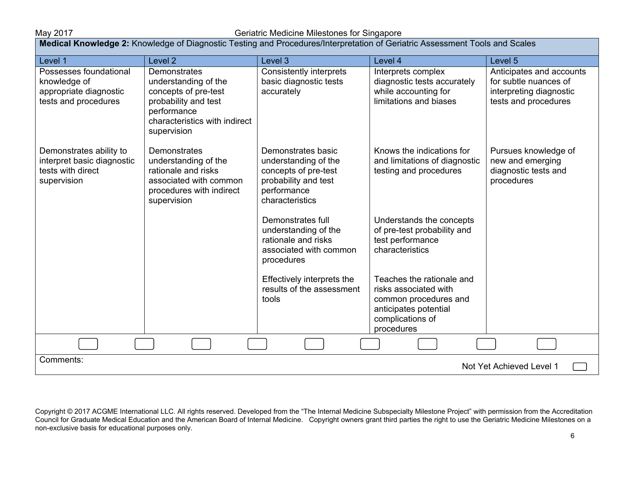May 2017 Geriatric Medicine Milestones for Singapore

| <b>Medical Knowledge 2:</b> Knowledge of Diagnostic Testing and Procedures/Interpretation of Geriatric Assessment Tools and Scales |                                                                                                                                                     |                                                                                                                              |                                                                                                                                        |                                                                                                      |
|------------------------------------------------------------------------------------------------------------------------------------|-----------------------------------------------------------------------------------------------------------------------------------------------------|------------------------------------------------------------------------------------------------------------------------------|----------------------------------------------------------------------------------------------------------------------------------------|------------------------------------------------------------------------------------------------------|
| Level 1                                                                                                                            | Level <sub>2</sub>                                                                                                                                  | Level 3                                                                                                                      | Level 4                                                                                                                                | Level 5                                                                                              |
| Possesses foundational<br>knowledge of<br>appropriate diagnostic<br>tests and procedures                                           | Demonstrates<br>understanding of the<br>concepts of pre-test<br>probability and test<br>performance<br>characteristics with indirect<br>supervision | <b>Consistently interprets</b><br>basic diagnostic tests<br>accurately                                                       | Interprets complex<br>diagnostic tests accurately<br>while accounting for<br>limitations and biases                                    | Anticipates and accounts<br>for subtle nuances of<br>interpreting diagnostic<br>tests and procedures |
| Demonstrates ability to<br>interpret basic diagnostic<br>tests with direct<br>supervision                                          | <b>Demonstrates</b><br>understanding of the<br>rationale and risks<br>associated with common<br>procedures with indirect<br>supervision             | Demonstrates basic<br>understanding of the<br>concepts of pre-test<br>probability and test<br>performance<br>characteristics | Knows the indications for<br>and limitations of diagnostic<br>testing and procedures                                                   | Pursues knowledge of<br>new and emerging<br>diagnostic tests and<br>procedures                       |
|                                                                                                                                    |                                                                                                                                                     | Demonstrates full<br>understanding of the<br>rationale and risks<br>associated with common<br>procedures                     | Understands the concepts<br>of pre-test probability and<br>test performance<br>characteristics                                         |                                                                                                      |
|                                                                                                                                    |                                                                                                                                                     | Effectively interprets the<br>results of the assessment<br>tools                                                             | Teaches the rationale and<br>risks associated with<br>common procedures and<br>anticipates potential<br>complications of<br>procedures |                                                                                                      |
|                                                                                                                                    |                                                                                                                                                     |                                                                                                                              |                                                                                                                                        |                                                                                                      |
| Comments:<br>Not Yet Achieved Level 1                                                                                              |                                                                                                                                                     |                                                                                                                              |                                                                                                                                        |                                                                                                      |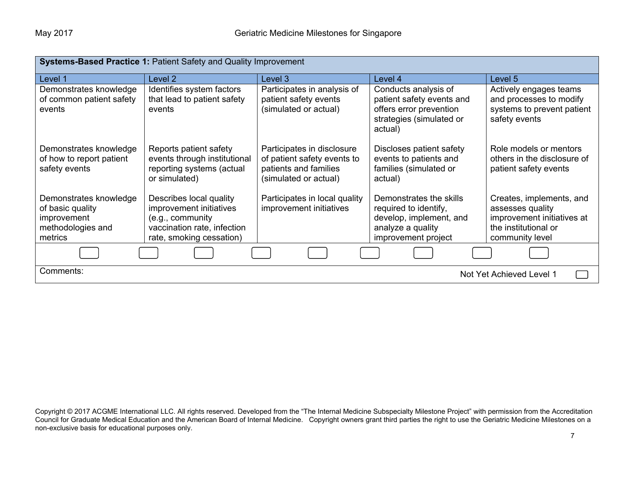| <b>Systems-Based Practice 1: Patient Safety and Quality Improvement</b>                   |                                                                                                                                   |                                                                                                             |                                                                                                                         |                                                                                                                       |
|-------------------------------------------------------------------------------------------|-----------------------------------------------------------------------------------------------------------------------------------|-------------------------------------------------------------------------------------------------------------|-------------------------------------------------------------------------------------------------------------------------|-----------------------------------------------------------------------------------------------------------------------|
| Level 1                                                                                   | Level 2                                                                                                                           | Level 3                                                                                                     | Level 4                                                                                                                 | Level 5                                                                                                               |
| Demonstrates knowledge<br>of common patient safety<br>events                              | Identifies system factors<br>that lead to patient safety<br>events                                                                | Participates in analysis of<br>patient safety events<br>(simulated or actual)                               | Conducts analysis of<br>patient safety events and<br>offers error prevention<br>strategies (simulated or<br>actual)     | Actively engages teams<br>and processes to modify<br>systems to prevent patient<br>safety events                      |
| Demonstrates knowledge<br>of how to report patient<br>safety events                       | Reports patient safety<br>events through institutional<br>reporting systems (actual<br>or simulated)                              | Participates in disclosure<br>of patient safety events to<br>patients and families<br>(simulated or actual) | Discloses patient safety<br>events to patients and<br>families (simulated or<br>actual)                                 | Role models or mentors<br>others in the disclosure of<br>patient safety events                                        |
| Demonstrates knowledge<br>of basic quality<br>improvement<br>methodologies and<br>metrics | Describes local quality<br>improvement initiatives<br>(e.g., community<br>vaccination rate, infection<br>rate, smoking cessation) | Participates in local quality<br>improvement initiatives                                                    | Demonstrates the skills<br>required to identify,<br>develop, implement, and<br>analyze a quality<br>improvement project | Creates, implements, and<br>assesses quality<br>improvement initiatives at<br>the institutional or<br>community level |
|                                                                                           |                                                                                                                                   |                                                                                                             |                                                                                                                         |                                                                                                                       |
| Comments:                                                                                 |                                                                                                                                   |                                                                                                             |                                                                                                                         | Not Yet Achieved Level 1                                                                                              |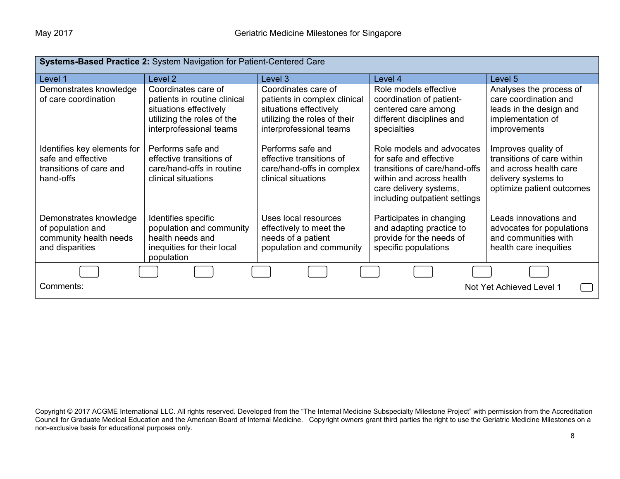| Systems-Based Practice 2: System Navigation for Patient-Centered Care                     |                                                                                                                                        |                                                                                                                                          |                                                                                                                                                                             |                                                                                                                                 |
|-------------------------------------------------------------------------------------------|----------------------------------------------------------------------------------------------------------------------------------------|------------------------------------------------------------------------------------------------------------------------------------------|-----------------------------------------------------------------------------------------------------------------------------------------------------------------------------|---------------------------------------------------------------------------------------------------------------------------------|
| Level 1                                                                                   | Level <sub>2</sub>                                                                                                                     | Level 3                                                                                                                                  | Level 4                                                                                                                                                                     | Level 5                                                                                                                         |
| Demonstrates knowledge<br>of care coordination                                            | Coordinates care of<br>patients in routine clinical<br>situations effectively<br>utilizing the roles of the<br>interprofessional teams | Coordinates care of<br>patients in complex clinical<br>situations effectively<br>utilizing the roles of their<br>interprofessional teams | Role models effective<br>coordination of patient-<br>centered care among<br>different disciplines and<br>specialties                                                        | Analyses the process of<br>care coordination and<br>leads in the design and<br>implementation of<br>improvements                |
| Identifies key elements for<br>safe and effective<br>transitions of care and<br>hand-offs | Performs safe and<br>effective transitions of<br>care/hand-offs in routine<br>clinical situations                                      | Performs safe and<br>effective transitions of<br>care/hand-offs in complex<br>clinical situations                                        | Role models and advocates<br>for safe and effective<br>transitions of care/hand-offs<br>within and across health<br>care delivery systems,<br>including outpatient settings | Improves quality of<br>transitions of care within<br>and across health care<br>delivery systems to<br>optimize patient outcomes |
| Demonstrates knowledge<br>of population and<br>community health needs<br>and disparities  | Identifies specific<br>population and community<br>health needs and<br>inequities for their local<br>population                        | Uses local resources<br>effectively to meet the<br>needs of a patient<br>population and community                                        | Participates in changing<br>and adapting practice to<br>provide for the needs of<br>specific populations                                                                    | Leads innovations and<br>advocates for populations<br>and communities with<br>health care inequities                            |
| Comments:<br>Not Yet Achieved Level 1                                                     |                                                                                                                                        |                                                                                                                                          |                                                                                                                                                                             |                                                                                                                                 |
|                                                                                           |                                                                                                                                        |                                                                                                                                          |                                                                                                                                                                             |                                                                                                                                 |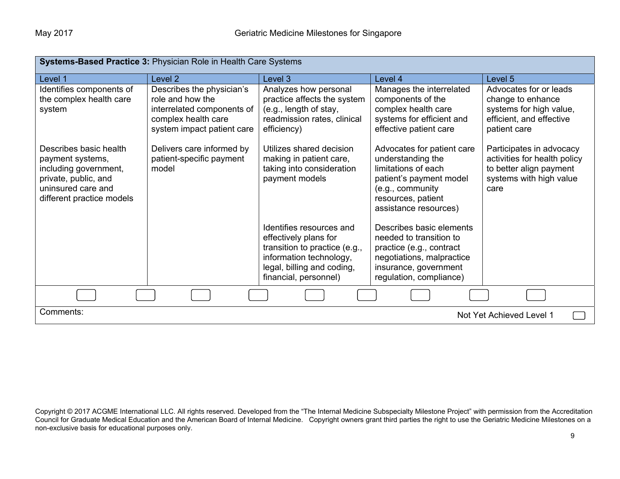| Systems-Based Practice 3: Physician Role in Health Care Systems                                                                                |                                                                                                                                  |                                                                                                                                                                      |                                                                                                                                                                      |                                                                                                                        |
|------------------------------------------------------------------------------------------------------------------------------------------------|----------------------------------------------------------------------------------------------------------------------------------|----------------------------------------------------------------------------------------------------------------------------------------------------------------------|----------------------------------------------------------------------------------------------------------------------------------------------------------------------|------------------------------------------------------------------------------------------------------------------------|
| Level 1                                                                                                                                        | Level 2                                                                                                                          | Level 3                                                                                                                                                              | Level 4                                                                                                                                                              | Level 5                                                                                                                |
| Identifies components of<br>the complex health care<br>system                                                                                  | Describes the physician's<br>role and how the<br>interrelated components of<br>complex health care<br>system impact patient care | Analyzes how personal<br>practice affects the system<br>(e.g., length of stay,<br>readmission rates, clinical<br>efficiency)                                         | Manages the interrelated<br>components of the<br>complex health care<br>systems for efficient and<br>effective patient care                                          | Advocates for or leads<br>change to enhance<br>systems for high value,<br>efficient, and effective<br>patient care     |
| Describes basic health<br>payment systems,<br>including government,<br>private, public, and<br>uninsured care and<br>different practice models | Delivers care informed by<br>patient-specific payment<br>model                                                                   | Utilizes shared decision<br>making in patient care,<br>taking into consideration<br>payment models                                                                   | Advocates for patient care<br>understanding the<br>limitations of each<br>patient's payment model<br>(e.g., community<br>resources, patient<br>assistance resources) | Participates in advocacy<br>activities for health policy<br>to better align payment<br>systems with high value<br>care |
|                                                                                                                                                |                                                                                                                                  | Identifies resources and<br>effectively plans for<br>transition to practice (e.g.,<br>information technology,<br>legal, billing and coding,<br>financial, personnel) | Describes basic elements<br>needed to transition to<br>practice (e.g., contract<br>negotiations, malpractice<br>insurance, government<br>regulation, compliance)     |                                                                                                                        |
|                                                                                                                                                |                                                                                                                                  |                                                                                                                                                                      |                                                                                                                                                                      |                                                                                                                        |
| Comments:<br>Not Yet Achieved Level 1                                                                                                          |                                                                                                                                  |                                                                                                                                                                      |                                                                                                                                                                      |                                                                                                                        |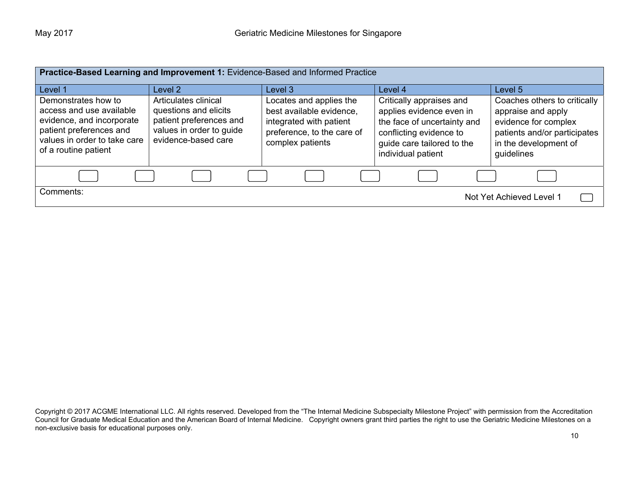| Practice-Based Learning and Improvement 1: Evidence-Based and Informed Practice                                                                                 |                                                                                                                             |                                                                                                                                  |                                                                                                                                                                    |                                                                                                                                                   |
|-----------------------------------------------------------------------------------------------------------------------------------------------------------------|-----------------------------------------------------------------------------------------------------------------------------|----------------------------------------------------------------------------------------------------------------------------------|--------------------------------------------------------------------------------------------------------------------------------------------------------------------|---------------------------------------------------------------------------------------------------------------------------------------------------|
|                                                                                                                                                                 |                                                                                                                             |                                                                                                                                  |                                                                                                                                                                    |                                                                                                                                                   |
| Level 1                                                                                                                                                         | Level 2                                                                                                                     | Level 3                                                                                                                          | Level 4                                                                                                                                                            | Level 5                                                                                                                                           |
| Demonstrates how to<br>access and use available<br>evidence, and incorporate<br>patient preferences and<br>values in order to take care<br>of a routine patient | Articulates clinical<br>questions and elicits<br>patient preferences and<br>values in order to guide<br>evidence-based care | Locates and applies the<br>best available evidence,<br>integrated with patient<br>preference, to the care of<br>complex patients | Critically appraises and<br>applies evidence even in<br>the face of uncertainty and<br>conflicting evidence to<br>guide care tailored to the<br>individual patient | Coaches others to critically<br>appraise and apply<br>evidence for complex<br>patients and/or participates<br>in the development of<br>guidelines |
|                                                                                                                                                                 |                                                                                                                             |                                                                                                                                  |                                                                                                                                                                    |                                                                                                                                                   |
| Comments:                                                                                                                                                       |                                                                                                                             |                                                                                                                                  |                                                                                                                                                                    | Not Yet Achieved Level 1                                                                                                                          |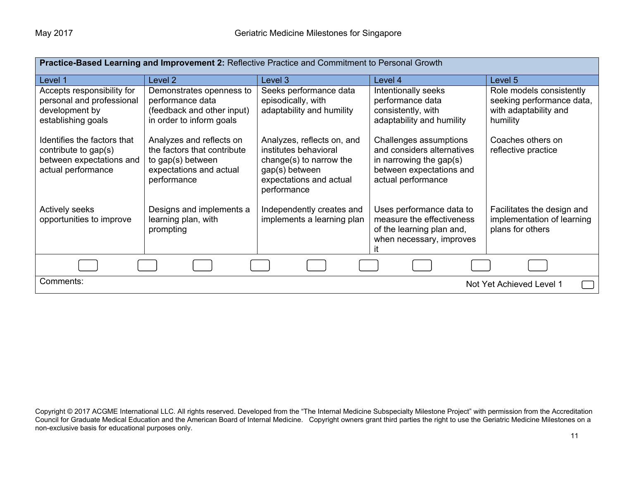| Practice-Based Learning and Improvement 2: Reflective Practice and Commitment to Personal Growth        |                                                                                                                        |                                                                                                                                            |                                                                                                                                      |                                                                                            |  |
|---------------------------------------------------------------------------------------------------------|------------------------------------------------------------------------------------------------------------------------|--------------------------------------------------------------------------------------------------------------------------------------------|--------------------------------------------------------------------------------------------------------------------------------------|--------------------------------------------------------------------------------------------|--|
| Level 1                                                                                                 | Level 2                                                                                                                | Level 3                                                                                                                                    | Level 4                                                                                                                              | Level 5                                                                                    |  |
| Accepts responsibility for<br>personal and professional<br>development by<br>establishing goals         | Demonstrates openness to<br>performance data<br>(feedback and other input)<br>in order to inform goals                 | Seeks performance data<br>episodically, with<br>adaptability and humility                                                                  | Intentionally seeks<br>performance data<br>consistently, with<br>adaptability and humility                                           | Role models consistently<br>seeking performance data,<br>with adaptability and<br>humility |  |
| Identifies the factors that<br>contribute to $gap(s)$<br>between expectations and<br>actual performance | Analyzes and reflects on<br>the factors that contribute<br>to gap(s) between<br>expectations and actual<br>performance | Analyzes, reflects on, and<br>institutes behavioral<br>change(s) to narrow the<br>gap(s) between<br>expectations and actual<br>performance | Challenges assumptions<br>and considers alternatives<br>in narrowing the gap $(s)$<br>between expectations and<br>actual performance | Coaches others on<br>reflective practice                                                   |  |
| Actively seeks<br>opportunities to improve                                                              | Designs and implements a<br>learning plan, with<br>prompting                                                           | Independently creates and<br>implements a learning plan                                                                                    | Uses performance data to<br>measure the effectiveness<br>of the learning plan and,<br>when necessary, improves<br>ıt                 | Facilitates the design and<br>implementation of learning<br>plans for others               |  |
|                                                                                                         |                                                                                                                        |                                                                                                                                            |                                                                                                                                      |                                                                                            |  |
| Comments:                                                                                               | Not Yet Achieved Level 1                                                                                               |                                                                                                                                            |                                                                                                                                      |                                                                                            |  |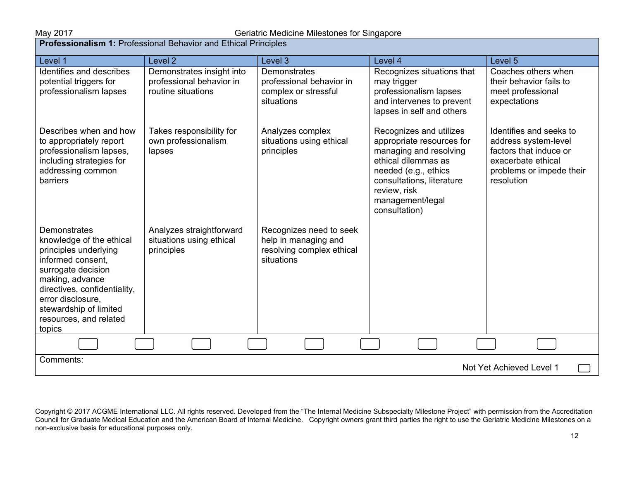**Professionalism 1: Professional Behavior and Ethical Principles** 

| Level 1                                                                                                                                                                                                                                            | Level <sub>2</sub>                                                          | Level 3                                                                                    | Level 4                                                                                                                                                                                                         | Level <sub>5</sub>                                                                                                                        |  |
|----------------------------------------------------------------------------------------------------------------------------------------------------------------------------------------------------------------------------------------------------|-----------------------------------------------------------------------------|--------------------------------------------------------------------------------------------|-----------------------------------------------------------------------------------------------------------------------------------------------------------------------------------------------------------------|-------------------------------------------------------------------------------------------------------------------------------------------|--|
| Identifies and describes<br>potential triggers for<br>professionalism lapses                                                                                                                                                                       | Demonstrates insight into<br>professional behavior in<br>routine situations | Demonstrates<br>professional behavior in<br>complex or stressful<br>situations             | Recognizes situations that<br>may trigger<br>professionalism lapses<br>and intervenes to prevent<br>lapses in self and others                                                                                   | Coaches others when<br>their behavior fails to<br>meet professional<br>expectations                                                       |  |
| Describes when and how<br>to appropriately report<br>professionalism lapses,<br>including strategies for<br>addressing common<br><b>barriers</b>                                                                                                   | Takes responsibility for<br>own professionalism<br>lapses                   | Analyzes complex<br>situations using ethical<br>principles                                 | Recognizes and utilizes<br>appropriate resources for<br>managing and resolving<br>ethical dilemmas as<br>needed (e.g., ethics<br>consultations, literature<br>review, risk<br>management/legal<br>consultation) | Identifies and seeks to<br>address system-level<br>factors that induce or<br>exacerbate ethical<br>problems or impede their<br>resolution |  |
| Demonstrates<br>knowledge of the ethical<br>principles underlying<br>informed consent,<br>surrogate decision<br>making, advance<br>directives, confidentiality,<br>error disclosure,<br>stewardship of limited<br>resources, and related<br>topics | Analyzes straightforward<br>situations using ethical<br>principles          | Recognizes need to seek<br>help in managing and<br>resolving complex ethical<br>situations |                                                                                                                                                                                                                 |                                                                                                                                           |  |
|                                                                                                                                                                                                                                                    |                                                                             |                                                                                            |                                                                                                                                                                                                                 |                                                                                                                                           |  |
| Comments:<br>Not Yet Achieved Level 1                                                                                                                                                                                                              |                                                                             |                                                                                            |                                                                                                                                                                                                                 |                                                                                                                                           |  |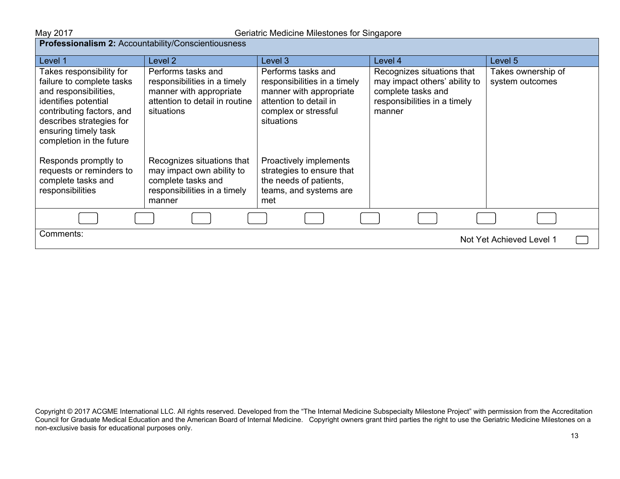| Professionalism 2: Accountability/Conscientiousness                                                                                                                                                                 |                                                                                                                               |                                                                                                                                               |                                                                                                                             |                                       |  |
|---------------------------------------------------------------------------------------------------------------------------------------------------------------------------------------------------------------------|-------------------------------------------------------------------------------------------------------------------------------|-----------------------------------------------------------------------------------------------------------------------------------------------|-----------------------------------------------------------------------------------------------------------------------------|---------------------------------------|--|
| Level 1                                                                                                                                                                                                             | Level 2                                                                                                                       | Level 3                                                                                                                                       | Level 4                                                                                                                     | Level 5                               |  |
| Takes responsibility for<br>failure to complete tasks<br>and responsibilities,<br>identifies potential<br>contributing factors, and<br>describes strategies for<br>ensuring timely task<br>completion in the future | Performs tasks and<br>responsibilities in a timely<br>manner with appropriate<br>attention to detail in routine<br>situations | Performs tasks and<br>responsibilities in a timely<br>manner with appropriate<br>attention to detail in<br>complex or stressful<br>situations | Recognizes situations that<br>may impact others' ability to<br>complete tasks and<br>responsibilities in a timely<br>manner | Takes ownership of<br>system outcomes |  |
| Responds promptly to<br>requests or reminders to<br>complete tasks and<br>responsibilities                                                                                                                          | Recognizes situations that<br>may impact own ability to<br>complete tasks and<br>responsibilities in a timely<br>manner       | Proactively implements<br>strategies to ensure that<br>the needs of patients,<br>teams, and systems are<br>met                                |                                                                                                                             |                                       |  |
|                                                                                                                                                                                                                     |                                                                                                                               |                                                                                                                                               |                                                                                                                             |                                       |  |
| Comments:<br>Not Yet Achieved Level 1                                                                                                                                                                               |                                                                                                                               |                                                                                                                                               |                                                                                                                             |                                       |  |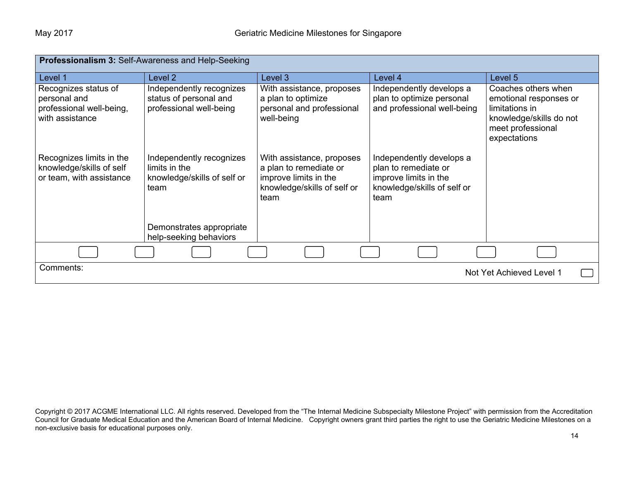| Professionalism 3: Self-Awareness and Help-Seeking                                  |                                                                                  |                                                                                                                     |                                                                                                                  |                                                                                                                                 |
|-------------------------------------------------------------------------------------|----------------------------------------------------------------------------------|---------------------------------------------------------------------------------------------------------------------|------------------------------------------------------------------------------------------------------------------|---------------------------------------------------------------------------------------------------------------------------------|
| Level 1                                                                             | Level 2                                                                          | Level 3                                                                                                             | Level 4                                                                                                          | Level 5                                                                                                                         |
| Recognizes status of<br>personal and<br>professional well-being,<br>with assistance | Independently recognizes<br>status of personal and<br>professional well-being    | With assistance, proposes<br>a plan to optimize<br>personal and professional<br>well-being                          | Independently develops a<br>plan to optimize personal<br>and professional well-being                             | Coaches others when<br>emotional responses or<br>limitations in<br>knowledge/skills do not<br>meet professional<br>expectations |
| Recognizes limits in the<br>knowledge/skills of self<br>or team, with assistance    | Independently recognizes<br>limits in the<br>knowledge/skills of self or<br>team | With assistance, proposes<br>a plan to remediate or<br>improve limits in the<br>knowledge/skills of self or<br>team | Independently develops a<br>plan to remediate or<br>improve limits in the<br>knowledge/skills of self or<br>team |                                                                                                                                 |
|                                                                                     | Demonstrates appropriate<br>help-seeking behaviors                               |                                                                                                                     |                                                                                                                  |                                                                                                                                 |
|                                                                                     |                                                                                  |                                                                                                                     |                                                                                                                  |                                                                                                                                 |
| Comments:<br>Not Yet Achieved Level 1                                               |                                                                                  |                                                                                                                     |                                                                                                                  |                                                                                                                                 |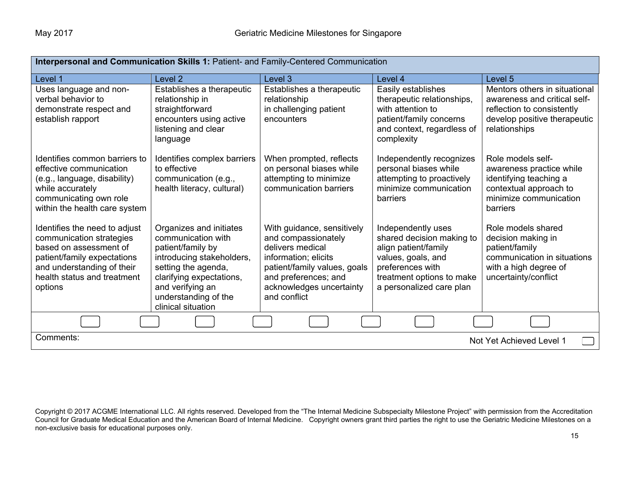| Interpersonal and Communication Skills 1: Patient- and Family-Centered Communication                                                                                                       |                                                                                                                                                                                                                      |                                                                                                                                                                                                   |                                                                                                                                                                            |                                                                                                                                              |
|--------------------------------------------------------------------------------------------------------------------------------------------------------------------------------------------|----------------------------------------------------------------------------------------------------------------------------------------------------------------------------------------------------------------------|---------------------------------------------------------------------------------------------------------------------------------------------------------------------------------------------------|----------------------------------------------------------------------------------------------------------------------------------------------------------------------------|----------------------------------------------------------------------------------------------------------------------------------------------|
| Level 1                                                                                                                                                                                    | Level 2                                                                                                                                                                                                              | Level 3                                                                                                                                                                                           | Level 4                                                                                                                                                                    | Level 5                                                                                                                                      |
| Uses language and non-<br>verbal behavior to<br>demonstrate respect and<br>establish rapport                                                                                               | Establishes a therapeutic<br>relationship in<br>straightforward<br>encounters using active<br>listening and clear<br>language                                                                                        | Establishes a therapeutic<br>relationship<br>in challenging patient<br>encounters                                                                                                                 | Easily establishes<br>therapeutic relationships,<br>with attention to<br>patient/family concerns<br>and context, regardless of<br>complexity                               | Mentors others in situational<br>awareness and critical self-<br>reflection to consistently<br>develop positive therapeutic<br>relationships |
| Identifies common barriers to<br>effective communication<br>(e.g., language, disability)<br>while accurately<br>communicating own role<br>within the health care system                    | Identifies complex barriers<br>to effective<br>communication (e.g.,<br>health literacy, cultural)                                                                                                                    | When prompted, reflects<br>on personal biases while<br>attempting to minimize<br>communication barriers                                                                                           | Independently recognizes<br>personal biases while<br>attempting to proactively<br>minimize communication<br>barriers                                                       | Role models self-<br>awareness practice while<br>identifying teaching a<br>contextual approach to<br>minimize communication<br>barriers      |
| Identifies the need to adjust<br>communication strategies<br>based on assessment of<br>patient/family expectations<br>and understanding of their<br>health status and treatment<br>options | Organizes and initiates<br>communication with<br>patient/family by<br>introducing stakeholders,<br>setting the agenda,<br>clarifying expectations,<br>and verifying an<br>understanding of the<br>clinical situation | With guidance, sensitively<br>and compassionately<br>delivers medical<br>information; elicits<br>patient/family values, goals<br>and preferences; and<br>acknowledges uncertainty<br>and conflict | Independently uses<br>shared decision making to<br>align patient/family<br>values, goals, and<br>preferences with<br>treatment options to make<br>a personalized care plan | Role models shared<br>decision making in<br>patient/family<br>communication in situations<br>with a high degree of<br>uncertainty/conflict   |
|                                                                                                                                                                                            |                                                                                                                                                                                                                      |                                                                                                                                                                                                   |                                                                                                                                                                            |                                                                                                                                              |
| Comments:<br>Not Yet Achieved Level 1                                                                                                                                                      |                                                                                                                                                                                                                      |                                                                                                                                                                                                   |                                                                                                                                                                            |                                                                                                                                              |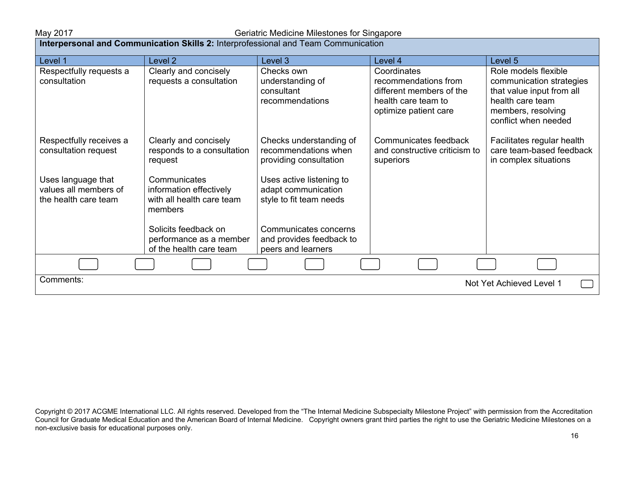May 2017 Geriatric Medicine Milestones for Singapore

| <b>Interpersonal and Communication Skills 2:</b> Interprofessional and Team Communication |                                                                                 |                                                                            |                                                                                                                 |                                                                                                                                                 |  |
|-------------------------------------------------------------------------------------------|---------------------------------------------------------------------------------|----------------------------------------------------------------------------|-----------------------------------------------------------------------------------------------------------------|-------------------------------------------------------------------------------------------------------------------------------------------------|--|
| Level 1                                                                                   | Level 2                                                                         | Level 3                                                                    | Level 4                                                                                                         | Level 5                                                                                                                                         |  |
| Respectfully requests a<br>consultation                                                   | Clearly and concisely<br>requests a consultation                                | Checks own<br>understanding of<br>consultant<br>recommendations            | Coordinates<br>recommendations from<br>different members of the<br>health care team to<br>optimize patient care | Role models flexible<br>communication strategies<br>that value input from all<br>health care team<br>members, resolving<br>conflict when needed |  |
| Respectfully receives a<br>consultation request                                           | Clearly and concisely<br>responds to a consultation<br>request                  | Checks understanding of<br>recommendations when<br>providing consultation  | Communicates feedback<br>and constructive criticism to<br>superiors                                             | Facilitates regular health<br>care team-based feedback<br>in complex situations                                                                 |  |
| Uses language that<br>values all members of<br>the health care team                       | Communicates<br>information effectively<br>with all health care team<br>members | Uses active listening to<br>adapt communication<br>style to fit team needs |                                                                                                                 |                                                                                                                                                 |  |
|                                                                                           | Solicits feedback on<br>performance as a member<br>of the health care team      | Communicates concerns<br>and provides feedback to<br>peers and learners    |                                                                                                                 |                                                                                                                                                 |  |
|                                                                                           |                                                                                 |                                                                            |                                                                                                                 |                                                                                                                                                 |  |
| Comments:<br>Not Yet Achieved Level 1                                                     |                                                                                 |                                                                            |                                                                                                                 |                                                                                                                                                 |  |